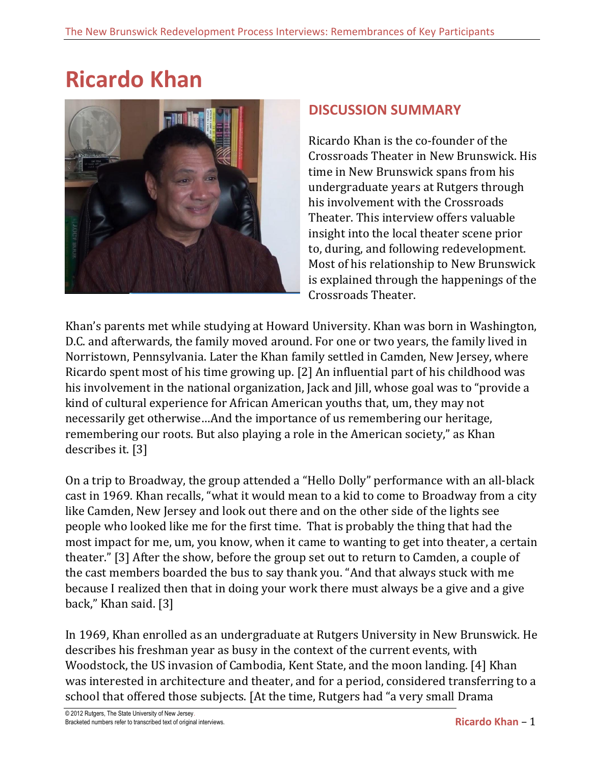# **Ricardo Khan**



# **DISCUSSION SUMMARY**

Ricardo Khan is the co-founder of the Crossroads Theater in New Brunswick. His time in New Brunswick spans from his undergraduate years at Rutgers through his involvement with the Crossroads Theater. This interview offers valuable insight into the local theater scene prior to, during, and following redevelopment. Most of his relationship to New Brunswick is explained through the happenings of the Crossroads Theater.

Khan's parents met while studying at Howard University. Khan was born in Washington, D.C. and afterwards, the family moved around. For one or two years, the family lived in Norristown, Pennsylvania. Later the Khan family settled in Camden, New Jersey, where Ricardo spent most of his time growing up. [2] An influential part of his childhood was his involvement in the national organization, Jack and Jill, whose goal was to "provide a kind of cultural experience for African American youths that, um, they may not necessarily get otherwise…And the importance of us remembering our heritage, remembering our roots. But also playing a role in the American society," as Khan describes it. [3]

On a trip to Broadway, the group attended a "Hello Dolly" performance with an all-black cast in 1969. Khan recalls, "what it would mean to a kid to come to Broadway from a city like Camden, New Jersey and look out there and on the other side of the lights see people who looked like me for the first time. That is probably the thing that had the most impact for me, um, you know, when it came to wanting to get into theater, a certain theater." [3] After the show, before the group set out to return to Camden, a couple of the cast members boarded the bus to say thank you. "And that always stuck with me because I realized then that in doing your work there must always be a give and a give back," Khan said. [3]

In 1969, Khan enrolled as an undergraduate at Rutgers University in New Brunswick. He describes his freshman year as busy in the context of the current events, with Woodstock, the US invasion of Cambodia, Kent State, and the moon landing. [4] Khan was interested in architecture and theater, and for a period, considered transferring to a school that offered those subjects. [At the time, Rutgers had "a very small Drama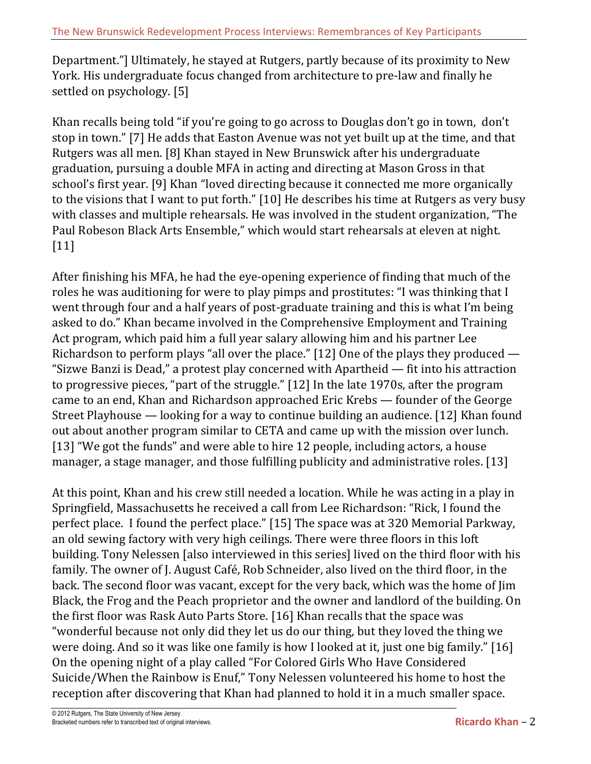Department."] Ultimately, he stayed at Rutgers, partly because of its proximity to New York. His undergraduate focus changed from architecture to pre-law and finally he settled on psychology. [5]

Khan recalls being told "if you're going to go across to Douglas don't go in town, don't stop in town." [7] He adds that Easton Avenue was not yet built up at the time, and that Rutgers was all men. [8] Khan stayed in New Brunswick after his undergraduate graduation, pursuing a double MFA in acting and directing at Mason Gross in that school's first year. [9] Khan "loved directing because it connected me more organically to the visions that I want to put forth." [10] He describes his time at Rutgers as very busy with classes and multiple rehearsals. He was involved in the student organization, "The Paul Robeson Black Arts Ensemble," which would start rehearsals at eleven at night. [11]

After finishing his MFA, he had the eye-opening experience of finding that much of the roles he was auditioning for were to play pimps and prostitutes: "I was thinking that I went through four and a half years of post-graduate training and this is what I'm being asked to do." Khan became involved in the Comprehensive Employment and Training Act program, which paid him a full year salary allowing him and his partner Lee Richardson to perform plays "all over the place." [12] One of the plays they produced — "Sizwe Banzi is Dead," a protest play concerned with Apartheid — fit into his attraction to progressive pieces, "part of the struggle." [12] In the late 1970s, after the program came to an end, Khan and Richardson approached Eric Krebs — founder of the George Street Playhouse — looking for a way to continue building an audience. [12] Khan found out about another program similar to CETA and came up with the mission over lunch. [13] "We got the funds" and were able to hire 12 people, including actors, a house manager, a stage manager, and those fulfilling publicity and administrative roles. [13]

At this point, Khan and his crew still needed a location. While he was acting in a play in Springfield, Massachusetts he received a call from Lee Richardson: "Rick, I found the perfect place. I found the perfect place." [15] The space was at 320 Memorial Parkway, an old sewing factory with very high ceilings. There were three floors in this loft building. Tony Nelessen [also interviewed in this series] lived on the third floor with his family. The owner of J. August Café, Rob Schneider, also lived on the third floor, in the back. The second floor was vacant, except for the very back, which was the home of Jim Black, the Frog and the Peach proprietor and the owner and landlord of the building. On the first floor was Rask Auto Parts Store. [16] Khan recalls that the space was "wonderful because not only did they let us do our thing, but they loved the thing we were doing. And so it was like one family is how I looked at it, just one big family." [16] On the opening night of a play called "For Colored Girls Who Have Considered Suicide/When the Rainbow is Enuf," Tony Nelessen volunteered his home to host the reception after discovering that Khan had planned to hold it in a much smaller space.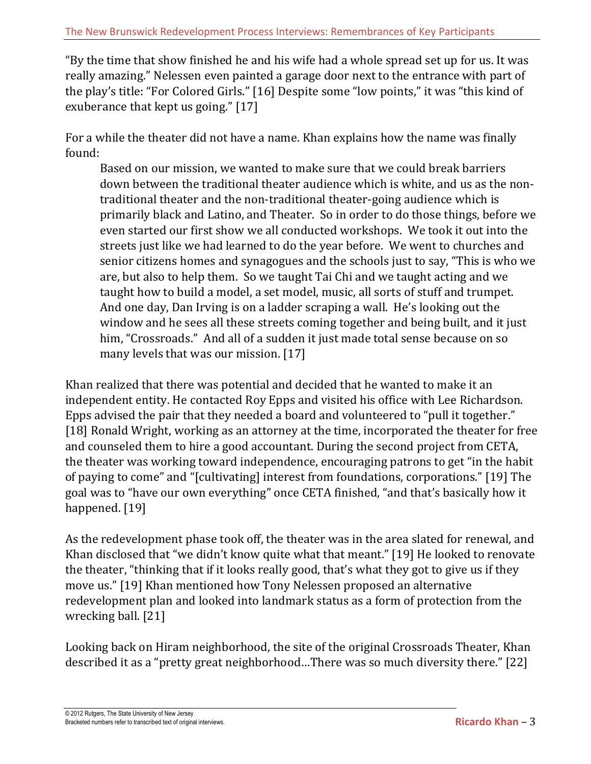"By the time that show finished he and his wife had a whole spread set up for us. It was really amazing." Nelessen even painted a garage door next to the entrance with part of the play's title: "For Colored Girls." [16] Despite some "low points," it was "this kind of exuberance that kept us going." [17]

For a while the theater did not have a name. Khan explains how the name was finally found:

Based on our mission, we wanted to make sure that we could break barriers down between the traditional theater audience which is white, and us as the nontraditional theater and the non-traditional theater-going audience which is primarily black and Latino, and Theater. So in order to do those things, before we even started our first show we all conducted workshops. We took it out into the streets just like we had learned to do the year before. We went to churches and senior citizens homes and synagogues and the schools just to say, "This is who we are, but also to help them. So we taught Tai Chi and we taught acting and we taught how to build a model, a set model, music, all sorts of stuff and trumpet. And one day, Dan Irving is on a ladder scraping a wall. He's looking out the window and he sees all these streets coming together and being built, and it just him, "Crossroads." And all of a sudden it just made total sense because on so many levels that was our mission. [17]

Khan realized that there was potential and decided that he wanted to make it an independent entity. He contacted Roy Epps and visited his office with Lee Richardson. Epps advised the pair that they needed a board and volunteered to "pull it together." [18] Ronald Wright, working as an attorney at the time, incorporated the theater for free and counseled them to hire a good accountant. During the second project from CETA, the theater was working toward independence, encouraging patrons to get "in the habit of paying to come" and "[cultivating] interest from foundations, corporations." [19] The goal was to "have our own everything" once CETA finished, "and that's basically how it happened. [19]

As the redevelopment phase took off, the theater was in the area slated for renewal, and Khan disclosed that "we didn't know quite what that meant." [19] He looked to renovate the theater, "thinking that if it looks really good, that's what they got to give us if they move us." [19] Khan mentioned how Tony Nelessen proposed an alternative redevelopment plan and looked into landmark status as a form of protection from the wrecking ball. [21]

Looking back on Hiram neighborhood, the site of the original Crossroads Theater, Khan described it as a "pretty great neighborhood…There was so much diversity there." [22]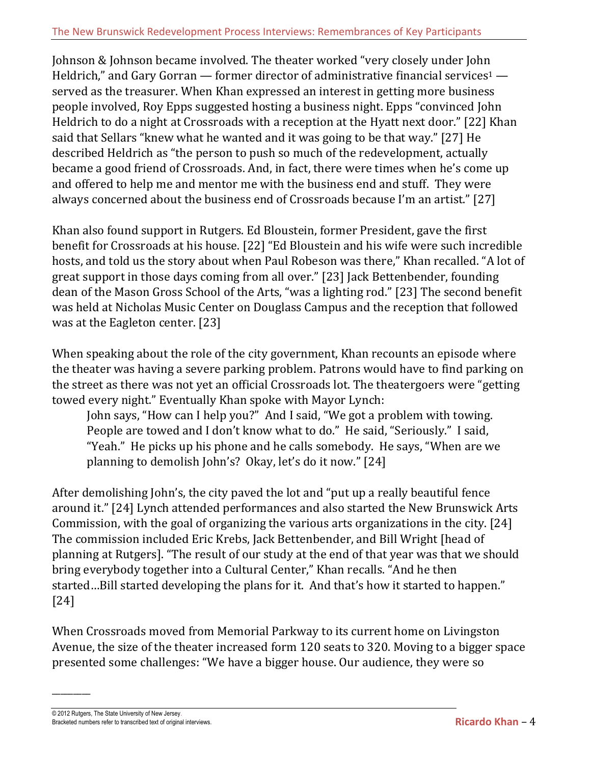Johnson & Johnson became involved. The theater worked "very closely under John Heldrich," and Gary Gorran — former director of administrative financial services<sup>1</sup> served as the treasurer. When Khan expressed an interest in getting more business people involved, Roy Epps suggested hosting a business night. Epps "convinced John Heldrich to do a night at Crossroads with a reception at the Hyatt next door." [22] Khan said that Sellars "knew what he wanted and it was going to be that way." [27] He described Heldrich as "the person to push so much of the redevelopment, actually became a good friend of Crossroads. And, in fact, there were times when he's come up and offered to help me and mentor me with the business end and stuff. They were always concerned about the business end of Crossroads because I'm an artist." [27]

Khan also found support in Rutgers. Ed Bloustein, former President, gave the first benefit for Crossroads at his house. [22] "Ed Bloustein and his wife were such incredible hosts, and told us the story about when Paul Robeson was there," Khan recalled. "A lot of great support in those days coming from all over." [23] Jack Bettenbender, founding dean of the Mason Gross School of the Arts, "was a lighting rod." [23] The second benefit was held at Nicholas Music Center on Douglass Campus and the reception that followed was at the Eagleton center. [23]

When speaking about the role of the city government, Khan recounts an episode where the theater was having a severe parking problem. Patrons would have to find parking on the street as there was not yet an official Crossroads lot. The theatergoers were "getting towed every night." Eventually Khan spoke with Mayor Lynch:

John says, "How can I help you?" And I said, "We got a problem with towing. People are towed and I don't know what to do." He said, "Seriously." I said, "Yeah." He picks up his phone and he calls somebody. He says, "When are we planning to demolish John's? Okay, let's do it now." [24]

After demolishing John's, the city paved the lot and "put up a really beautiful fence around it." [24] Lynch attended performances and also started the New Brunswick Arts Commission, with the goal of organizing the various arts organizations in the city. [24] The commission included Eric Krebs, Jack Bettenbender, and Bill Wright [head of planning at Rutgers]. "The result of our study at the end of that year was that we should bring everybody together into a Cultural Center," Khan recalls. "And he then started…Bill started developing the plans for it. And that's how it started to happen." [24]

When Crossroads moved from Memorial Parkway to its current home on Livingston Avenue, the size of the theater increased form 120 seats to 320. Moving to a bigger space presented some challenges: "We have a bigger house. Our audience, they were so

 $\overline{\phantom{a}}$ 

<sup>© 2012</sup> Rutgers, The State University of New Jersey. Bracketed numbers refer to transcribed text of original interviews. **Ricardo Khan** – 4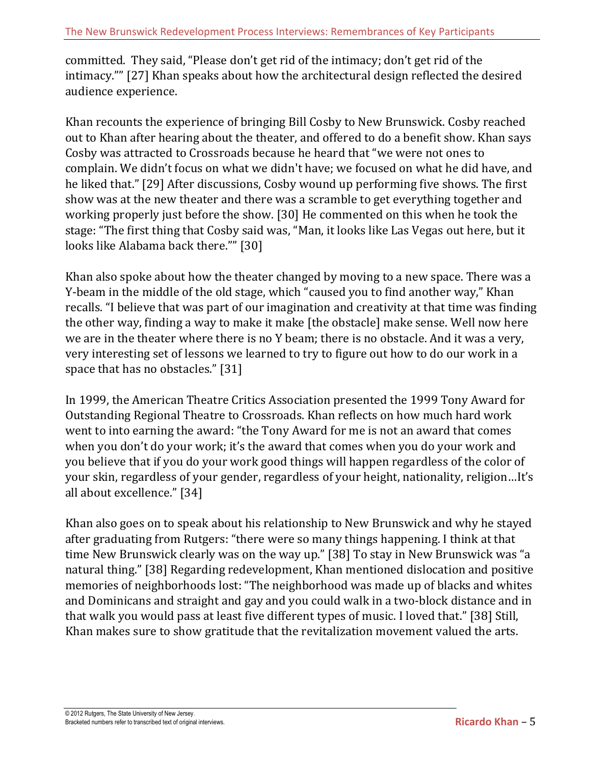committed. They said, "Please don't get rid of the intimacy; don't get rid of the intimacy."" [27] Khan speaks about how the architectural design reflected the desired audience experience.

Khan recounts the experience of bringing Bill Cosby to New Brunswick. Cosby reached out to Khan after hearing about the theater, and offered to do a benefit show. Khan says Cosby was attracted to Crossroads because he heard that "we were not ones to complain. We didn't focus on what we didn't have; we focused on what he did have, and he liked that." [29] After discussions, Cosby wound up performing five shows. The first show was at the new theater and there was a scramble to get everything together and working properly just before the show. [30] He commented on this when he took the stage: "The first thing that Cosby said was, "Man, it looks like Las Vegas out here, but it looks like Alabama back there."" [30]

Khan also spoke about how the theater changed by moving to a new space. There was a Y-beam in the middle of the old stage, which "caused you to find another way," Khan recalls. "I believe that was part of our imagination and creativity at that time was finding the other way, finding a way to make it make [the obstacle] make sense. Well now here we are in the theater where there is no Y beam; there is no obstacle. And it was a very, very interesting set of lessons we learned to try to figure out how to do our work in a space that has no obstacles." [31]

In 1999, the American Theatre Critics Association presented the 1999 Tony Award for Outstanding Regional Theatre to Crossroads. Khan reflects on how much hard work went to into earning the award: "the Tony Award for me is not an award that comes when you don't do your work; it's the award that comes when you do your work and you believe that if you do your work good things will happen regardless of the color of your skin, regardless of your gender, regardless of your height, nationality, religion…It's all about excellence." [34]

Khan also goes on to speak about his relationship to New Brunswick and why he stayed after graduating from Rutgers: "there were so many things happening. I think at that time New Brunswick clearly was on the way up." [38] To stay in New Brunswick was "a natural thing." [38] Regarding redevelopment, Khan mentioned dislocation and positive memories of neighborhoods lost: "The neighborhood was made up of blacks and whites and Dominicans and straight and gay and you could walk in a two-block distance and in that walk you would pass at least five different types of music. I loved that." [38] Still, Khan makes sure to show gratitude that the revitalization movement valued the arts.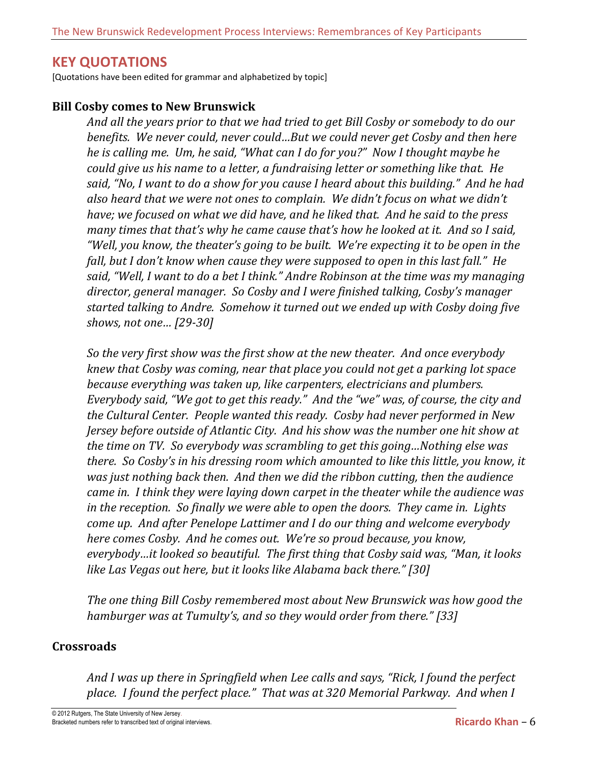# **KEY QUOTATIONS**

[Quotations have been edited for grammar and alphabetized by topic]

#### **Bill Cosby comes to New Brunswick**

*And all the years prior to that we had tried to get Bill Cosby or somebody to do our benefits. We never could, never could…But we could never get Cosby and then here he is calling me. Um, he said, "What can I do for you?" Now I thought maybe he could give us his name to a letter, a fundraising letter or something like that. He said, "No, I want to do a show for you cause I heard about this building." And he had also heard that we were not ones to complain. We didn't focus on what we didn't have; we focused on what we did have, and he liked that. And he said to the press* many times that that's why he came cause that's how he looked at it. And so I said, "Well, you know, the theater's going to be built. We're expecting it to be open in the *fall, but I don't know when cause they were supposed to open in this last fall." He said, "Well, I want to do a bet I think." Andre Robinson at the time was my managing director, general manager. So Cosby and I were finished talking, Cosby's manager started talking to Andre. Somehow it turned out we ended up with Cosby doing five shows, not one… [29-30]*

*So the very first show was the first show at the new theater. And once everybody knew that Cosby was coming, near that place you could not get a parking lot space because everything was taken up, like carpenters, electricians and plumbers. Everybody said, "We got to get this ready." And the "we" was, of course, the city and the Cultural Center. People wanted this ready. Cosby had never performed in New Jersey before outside of Atlantic City. And his show was the number one hit show at the time on TV. So everybody was scrambling to get this going…Nothing else was there. So Cosby's in his dressing room which amounted to like this little, you know, it was just nothing back then. And then we did the ribbon cutting, then the audience came in. I think they were laying down carpet in the theater while the audience was in the reception. So finally we were able to open the doors. They came in. Lights come up. And after Penelope Lattimer and I do our thing and welcome everybody here comes Cosby. And he comes out. We're so proud because, you know, everybody…it looked so beautiful. The first thing that Cosby said was, "Man, it looks like Las Vegas out here, but it looks like Alabama back there." [30]*

*The one thing Bill Cosby remembered most about New Brunswick was how good the hamburger was at Tumulty's, and so they would order from there." [33]*

#### **Crossroads**

*And I was up there in Springfield when Lee calls and says, "Rick, I found the perfect place. I found the perfect place." That was at 320 Memorial Parkway. And when I*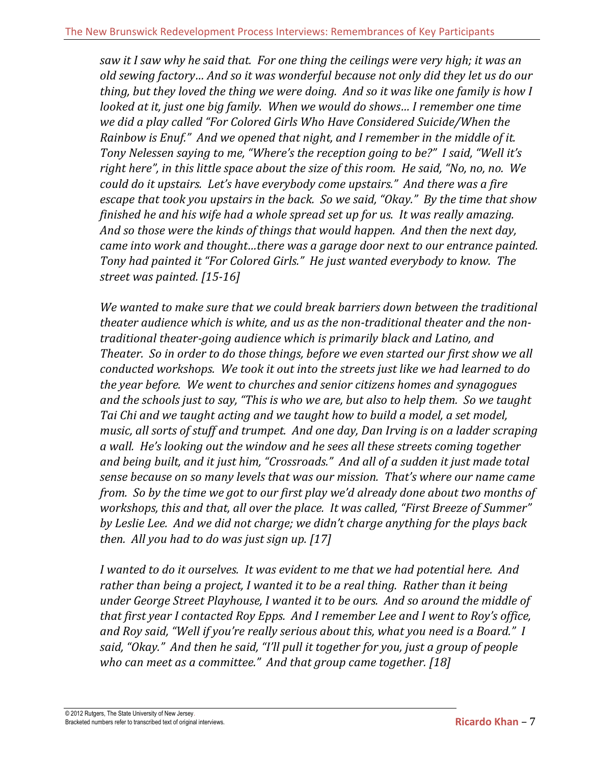*saw it I saw why he said that. For one thing the ceilings were very high; it was an old sewing factory… And so it was wonderful because not only did they let us do our thing, but they loved the thing we were doing. And so it was like one family is how I looked at it, just one big family. When we would do shows… I remember one time we did a play called "For Colored Girls Who Have Considered Suicide/When the Rainbow is Enuf." And we opened that night, and I remember in the middle of it. Tony Nelessen saying to me, "Where's the reception going to be?" I said, "Well it's right here", in this little space about the size of this room. He said, "No, no, no. We could do it upstairs. Let's have everybody come upstairs." And there was a fire escape that took you upstairs in the back. So we said, "Okay." By the time that show finished he and his wife had a whole spread set up for us. It was really amazing. And so those were the kinds of things that would happen. And then the next day, came into work and thought…there was a garage door next to our entrance painted. Tony had painted it "For Colored Girls." He just wanted everybody to know. The street was painted. [15-16]*

*We wanted to make sure that we could break barriers down between the traditional theater audience which is white, and us as the non-traditional theater and the nontraditional theater-going audience which is primarily black and Latino, and Theater. So in order to do those things, before we even started our first show we all conducted workshops. We took it out into the streets just like we had learned to do the year before. We went to churches and senior citizens homes and synagogues and the schools just to say, "This is who we are, but also to help them. So we taught Tai Chi and we taught acting and we taught how to build a model, a set model, music, all sorts of stuff and trumpet. And one day, Dan Irving is on a ladder scraping a wall. He's looking out the window and he sees all these streets coming together and being built, and it just him, "Crossroads." And all of a sudden it just made total sense because on so many levels that was our mission. That's where our name came from. So by the time we got to our first play we'd already done about two months of workshops, this and that, all over the place. It was called, "First Breeze of Summer" by Leslie Lee. And we did not charge; we didn't charge anything for the plays back then. All you had to do was just sign up. [17]*

*I wanted to do it ourselves. It was evident to me that we had potential here. And rather than being a project, I wanted it to be a real thing. Rather than it being under George Street Playhouse, I wanted it to be ours. And so around the middle of that first year I contacted Roy Epps. And I remember Lee and I went to Roy's office, and Roy said, "Well if you're really serious about this, what you need is a Board." I said, "Okay." And then he said, "I'll pull it together for you, just a group of people who can meet as a committee." And that group came together. [18]*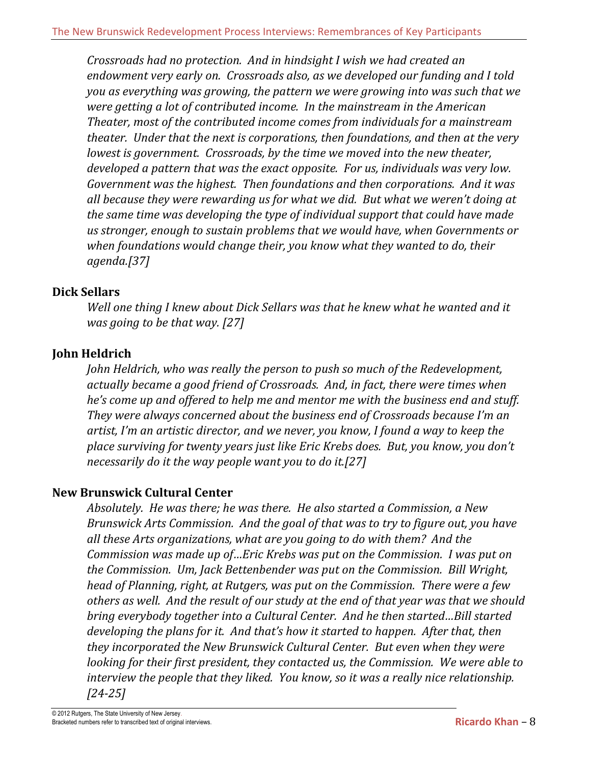*Crossroads had no protection. And in hindsight I wish we had created an endowment very early on. Crossroads also, as we developed our funding and I told you as everything was growing, the pattern we were growing into was such that we were getting a lot of contributed income. In the mainstream in the American Theater, most of the contributed income comes from individuals for a mainstream theater. Under that the next is corporations, then foundations, and then at the very lowest is government. Crossroads, by the time we moved into the new theater, developed a pattern that was the exact opposite. For us, individuals was very low. Government was the highest. Then foundations and then corporations. And it was all because they were rewarding us for what we did. But what we weren't doing at the same time was developing the type of individual support that could have made us stronger, enough to sustain problems that we would have, when Governments or when foundations would change their, you know what they wanted to do, their agenda.[37]*

## **Dick Sellars**

*Well one thing I knew about Dick Sellars was that he knew what he wanted and it was going to be that way. [27]*

## **John Heldrich**

*John Heldrich, who was really the person to push so much of the Redevelopment, actually became a good friend of Crossroads. And, in fact, there were times when he's come up and offered to help me and mentor me with the business end and stuff. They were always concerned about the business end of Crossroads because I'm an artist, I'm an artistic director, and we never, you know, I found a way to keep the place surviving for twenty years just like Eric Krebs does. But, you know, you don't necessarily do it the way people want you to do it.[27]*

## **New Brunswick Cultural Center**

*Absolutely. He was there; he was there. He also started a Commission, a New Brunswick Arts Commission. And the goal of that was to try to figure out, you have all these Arts organizations, what are you going to do with them? And the Commission was made up of…Eric Krebs was put on the Commission. I was put on the Commission. Um, Jack Bettenbender was put on the Commission. Bill Wright, head of Planning, right, at Rutgers, was put on the Commission. There were a few others as well. And the result of our study at the end of that year was that we should bring everybody together into a Cultural Center. And he then started…Bill started developing the plans for it. And that's how it started to happen. After that, then they incorporated the New Brunswick Cultural Center. But even when they were looking for their first president, they contacted us, the Commission. We were able to interview the people that they liked. You know, so it was a really nice relationship. [24-25]*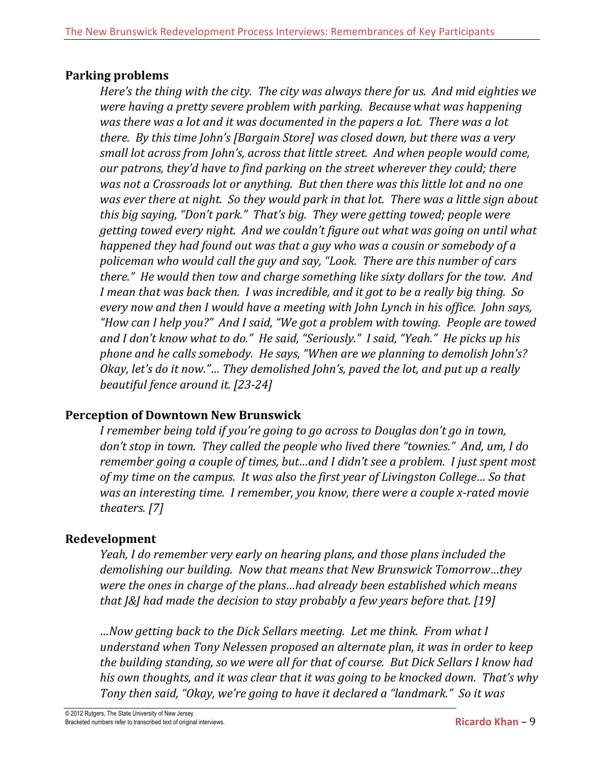#### **Parking problems**

*Here's the thing with the city. The city was always there for us. And mid eighties we were having a pretty severe problem with parking. Because what was happening was there was a lot and it was documented in the papers a lot. There was a lot there. By this time John's [Bargain Store] was closed down, but there was a very small lot across from John's, across that little street. And when people would come, our patrons, they'd have to find parking on the street wherever they could; there was not a Crossroads lot or anything. But then there was this little lot and no one was ever there at night. So they would park in that lot. There was a little sign about this big saying, "Don't park." That's big. They were getting towed; people were getting towed every night. And we couldn't figure out what was going on until what happened they had found out was that a guy who was a cousin or somebody of a policeman who would call the guy and say, "Look. There are this number of cars there." He would then tow and charge something like sixty dollars for the tow. And I mean that was back then. I was incredible, and it got to be a really big thing. So every now and then I would have a meeting with John Lynch in his office. John says, "How can I help you?" And I said, "We got a problem with towing. People are towed and I don't know what to do." He said, "Seriously." I said, "Yeah." He picks up his phone and he calls somebody. He says, "When are we planning to demolish John's? Okay, let's do it now."… They demolished John's, paved the lot, and put up a really beautiful fence around it. [23-24]*

## **Perception of Downtown New Brunswick**

*I remember being told if you're going to go across to Douglas don't go in town, don't stop in town. They called the people who lived there "townies." And, um, I do remember going a couple of times, but…and I didn't see a problem. I just spent most of my time on the campus. It was also the first year of Livingston College… So that was an interesting time. I remember, you know, there were a couple x-rated movie theaters. [7]*

#### **Redevelopment**

*Yeah, I do remember very early on hearing plans, and those plans included the demolishing our building. Now that means that New Brunswick Tomorrow…they were the ones in charge of the plans…had already been established which means that J&J had made the decision to stay probably a few years before that. [19]*

*…Now getting back to the Dick Sellars meeting. Let me think. From what I understand when Tony Nelessen proposed an alternate plan, it was in order to keep the building standing, so we were all for that of course. But Dick Sellars I know had his own thoughts, and it was clear that it was going to be knocked down. That's why Tony then said, "Okay, we're going to have it declared a "landmark." So it was*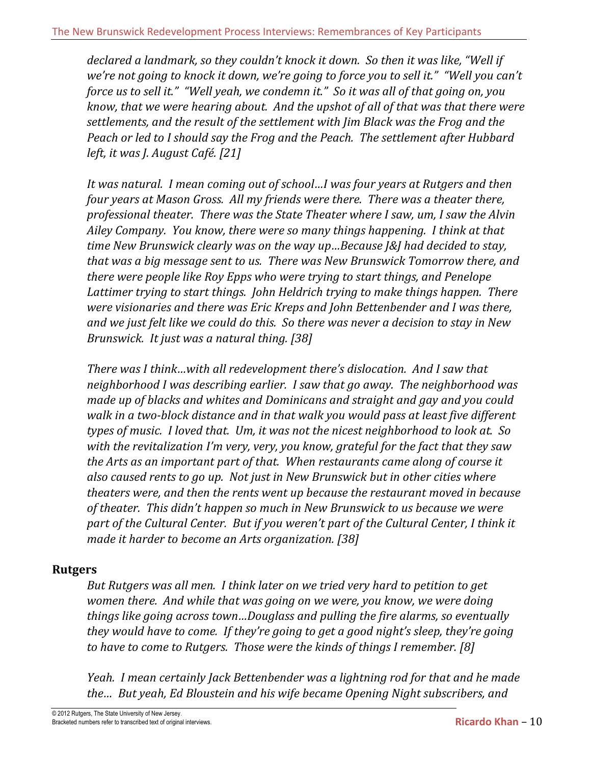*declared a landmark, so they couldn't knock it down. So then it was like, "Well if* we're not going to knock it down, we're going to force you to sell it." "Well you can't force us to sell it." "Well yeah, we condemn it." So it was all of that going on, you *know, that we were hearing about. And the upshot of all of that was that there were settlements, and the result of the settlement with Jim Black was the Frog and the Peach or led to I should say the Frog and the Peach. The settlement after Hubbard left, it was J. August Café. [21]*

*It was natural. I mean coming out of school…I was four years at Rutgers and then four years at Mason Gross. All my friends were there. There was a theater there, professional theater. There was the State Theater where I saw, um, I saw the Alvin Ailey Company. You know, there were so many things happening. I think at that time New Brunswick clearly was on the way up…Because J&J had decided to stay, that was a big message sent to us. There was New Brunswick Tomorrow there, and there were people like Roy Epps who were trying to start things, and Penelope Lattimer trying to start things. John Heldrich trying to make things happen. There were visionaries and there was Eric Kreps and John Bettenbender and I was there, and we just felt like we could do this. So there was never a decision to stay in New Brunswick. It just was a natural thing. [38]*

*There was I think…with all redevelopment there's dislocation. And I saw that neighborhood I was describing earlier. I saw that go away. The neighborhood was made up of blacks and whites and Dominicans and straight and gay and you could walk in a two-block distance and in that walk you would pass at least five different types of music. I loved that. Um, it was not the nicest neighborhood to look at. So with the revitalization I'm very, very, you know, grateful for the fact that they saw the Arts as an important part of that. When restaurants came along of course it also caused rents to go up. Not just in New Brunswick but in other cities where theaters were, and then the rents went up because the restaurant moved in because of theater. This didn't happen so much in New Brunswick to us because we were part of the Cultural Center. But if you weren't part of the Cultural Center, I think it made it harder to become an Arts organization. [38]*

## **Rutgers**

*But Rutgers was all men. I think later on we tried very hard to petition to get women there. And while that was going on we were, you know, we were doing things like going across town…Douglass and pulling the fire alarms, so eventually they would have to come. If they're going to get a good night's sleep, they're going to have to come to Rutgers. Those were the kinds of things I remember. [8]*

*Yeah. I mean certainly Jack Bettenbender was a lightning rod for that and he made the… But yeah, Ed Bloustein and his wife became Opening Night subscribers, and*